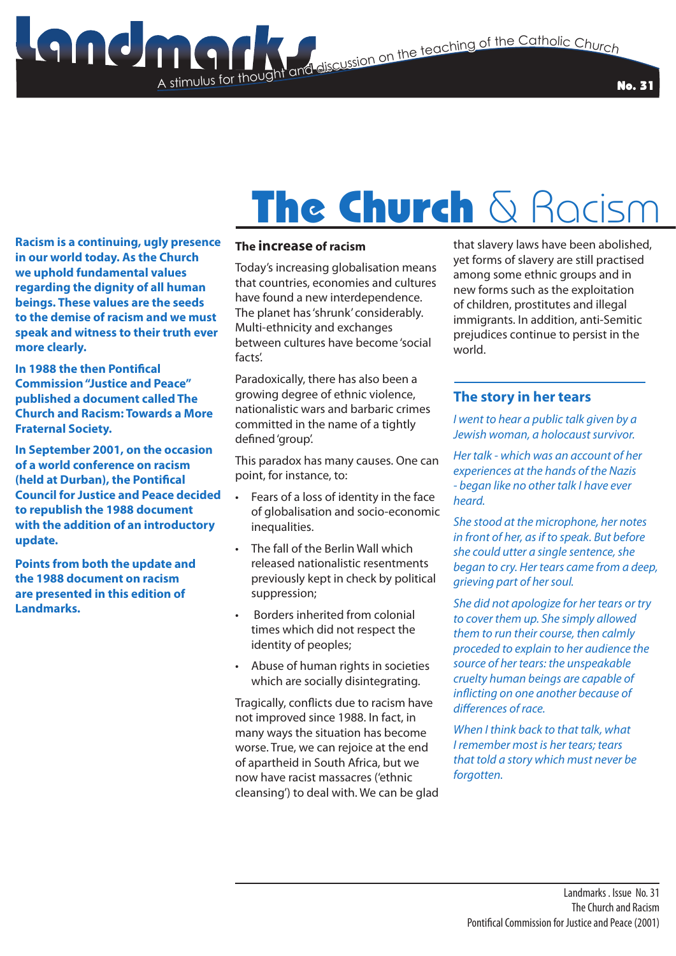**Stimulus for the Catholic Church**<br>The discussion on the teaching of the Catholic Church

No. 31

# The Church & Racism

**Racism is a continuing, ugly presence in our world today. As the Church we uphold fundamental values regarding the dignity of all human beings. These values are the seeds to the demise of racism and we must speak and witness to their truth ever more clearly.**

**In 1988 the then Pontifical Commission "Justice and Peace" published a document called The Church and Racism: Towards a More Fraternal Society.**

**In September 2001, on the occasion of a world conference on racism (held at Durban), the Pontifical Council for Justice and Peace decided to republish the 1988 document with the addition of an introductory update.**

**Points from both the update and the 1988 document on racism are presented in this edition of Landmarks.**

#### **The increase of racism**

A stimulus for thought

Today's increasing globalisation means that countries, economies and cultures have found a new interdependence. The planet has 'shrunk' considerably. Multi-ethnicity and exchanges between cultures have become 'social facts'.

Paradoxically, there has also been a growing degree of ethnic violence, nationalistic wars and barbaric crimes committed in the name of a tightly defined 'group'.

This paradox has many causes. One can point, for instance, to:

- Fears of a loss of identity in the face of globalisation and socio-economic inequalities.
- The fall of the Berlin Wall which released nationalistic resentments previously kept in check by political suppression;
- Borders inherited from colonial times which did not respect the identity of peoples;
- Abuse of human rights in societies which are socially disintegrating.

Tragically, conflicts due to racism have not improved since 1988. In fact, in many ways the situation has become worse. True, we can rejoice at the end of apartheid in South Africa, but we now have racist massacres ('ethnic cleansing') to deal with. We can be glad that slavery laws have been abolished, yet forms of slavery are still practised among some ethnic groups and in new forms such as the exploitation of children, prostitutes and illegal immigrants. In addition, anti-Semitic prejudices continue to persist in the world.

#### **The story in her tears**

*I went to hear a public talk given by a Jewish woman, a holocaust survivor.*

*Her talk - which was an account of her experiences at the hands of the Nazis - began like no other talk I have ever heard.*

*She stood at the microphone, her notes in front of her, as if to speak. But before she could utter a single sentence, she began to cry. Her tears came from a deep, grieving part of her soul.*

*She did not apologize for her tears or try to cover them up. She simply allowed them to run their course, then calmly proceded to explain to her audience the source of her tears: the unspeakable cruelty human beings are capable of inflicting on one another because of differences of race.*

*When I think back to that talk, what I remember most is her tears; tears that told a story which must never be forgotten.*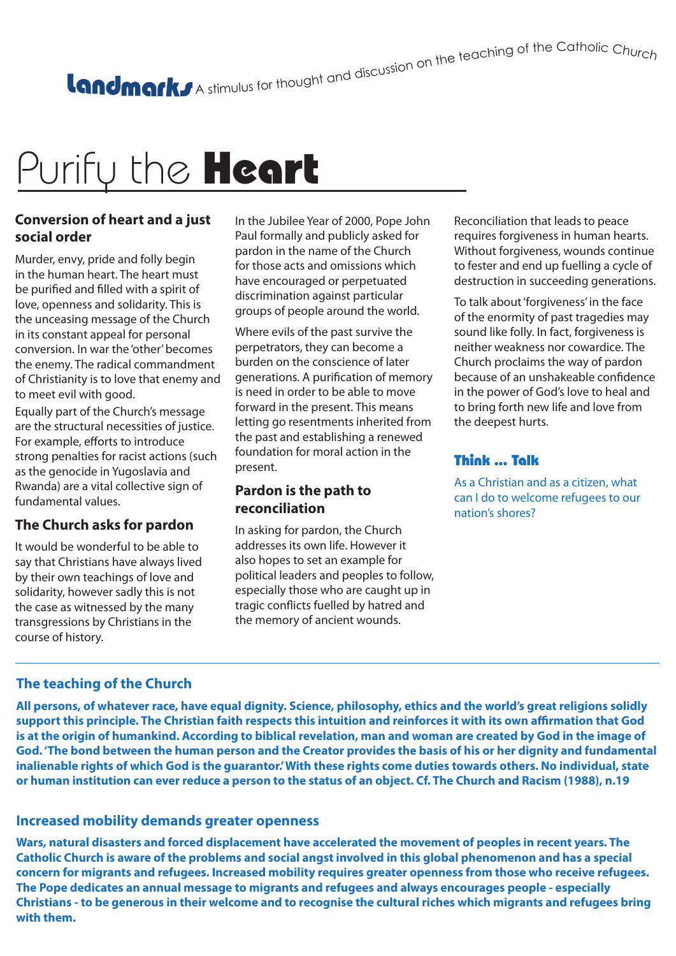A stimulus for thought and discussion on the teaching of the Catholic Churc<sub>h</sub>

# Purify the **Heart**

#### **Conversion of heart and a just social order**

Murder, envy, pride and folly begin in the human heart. The heart must be purified and filled with a spirit of love, openness and solidarity. This is the unceasing message of the Church in its constant appeal for personal conversion. In war the 'other' becomes the enemy. The radical commandment of Christianity is to love that enemy and to meet evil with good.

Equally part of the Church's message are the structural necessities of justice. For example, efforts to introduce strong penalties for racist actions (such as the genocide in Yugoslavia and Rwanda) are a vital collective sign of fundamental values.

# **The Church asks for pardon**

It would be wonderful to be able to say that Christians have always lived by their own teachings of love and solidarity, however sadly this is not the case as witnessed by the many transgressions by Christians in the course of history.

In the Jubilee Year of 2000, Pope John Paul formally and publicly asked for pardon in the name of the Church for those acts and omissions which have encouraged or perpetuated discrimination against particular groups of people around the world.

Where evils of the past survive the perpetrators, they can become a burden on the conscience of later generations. A purification of memory is need in order to be able to move forward in the present. This means letting go resentments inherited from the past and establishing a renewed foundation for moral action in the present.

### **Pardon is the path to reconciliation**

In asking for pardon, the Church addresses its own life. However it also hopes to set an example for political leaders and peoples to follow, especially those who are caught up in tragic conflicts fuelled by hatred and the memory of ancient wounds.

Reconciliation that leads to peace requires forgiveness in human hearts. Without forgiveness, wounds continue to fester and end up fuelling a cycle of destruction in succeeding generations.

To talk about 'forgiveness' in the face of the enormity of past tragedies may sound like folly. In fact, forgiveness is neither weakness nor cowardice. The Church proclaims the way of pardon because of an unshakeable confidence in the power of God's love to heal and to bring forth new life and love from the deepest hurts.

# Think ... Talk

As a Christian and as a citizen, what can I do to welcome refugees to our nation's shores?

# **The teaching of the Church**

**All persons, of whatever race, have equal dignity. Science, philosophy, ethics and the world's great religions solidly support this principle. The Christian faith respects this intuition and reinforces it with its own affirmation that God is at the origin of humankind. According to biblical revelation, man and woman are created by God in the image of God. 'The bond between the human person and the Creator provides the basis of his or her dignity and fundamental inalienable rights of which God is the guarantor.' With these rights come duties towards others. No individual, state or human institution can ever reduce a person to the status of an object. Cf. The Church and Racism (1988), n.19** 

# **Increased mobility demands greater openness**

**Wars, natural disasters and forced displacement have accelerated the movement of peoples in recent years. The Catholic Church is aware of the problems and social angst involved in this global phenomenon and has a special concern for migrants and refugees. Increased mobility requires greater openness from those who receive refugees. The Pope dedicates an annual message to migrants and refugees and always encourages people - especially Christians - to be generous in their welcome and to recognise the cultural riches which migrants and refugees bring with them.**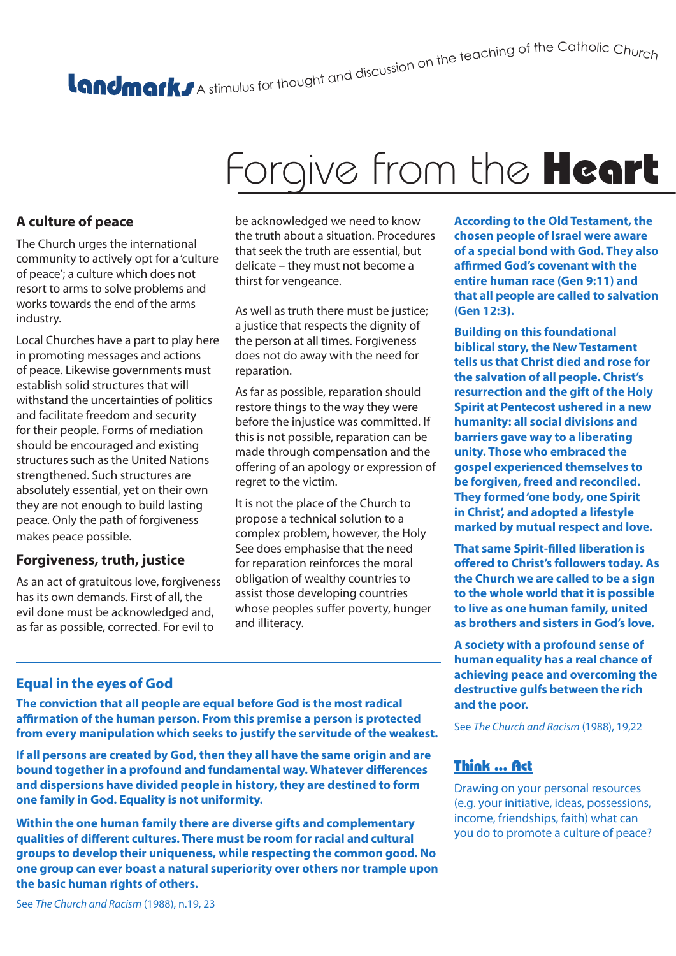# A stimulus for thought and discussion on the teaching of the Catholic Churc<sub>h</sub>

# Forgive from the **Heart**

# **A culture of peace**

The Church urges the international community to actively opt for a 'culture of peace'; a culture which does not resort to arms to solve problems and works towards the end of the arms industry.

Local Churches have a part to play here in promoting messages and actions of peace. Likewise governments must establish solid structures that will withstand the uncertainties of politics and facilitate freedom and security for their people. Forms of mediation should be encouraged and existing structures such as the United Nations strengthened. Such structures are absolutely essential, yet on their own they are not enough to build lasting peace. Only the path of forgiveness makes peace possible.

#### **Forgiveness, truth, justice**

As an act of gratuitous love, forgiveness has its own demands. First of all, the evil done must be acknowledged and, as far as possible, corrected. For evil to

be acknowledged we need to know the truth about a situation. Procedures that seek the truth are essential, but delicate – they must not become a thirst for vengeance.

As well as truth there must be justice; a justice that respects the dignity of the person at all times. Forgiveness does not do away with the need for reparation.

As far as possible, reparation should restore things to the way they were before the injustice was committed. If this is not possible, reparation can be made through compensation and the offering of an apology or expression of regret to the victim.

It is not the place of the Church to propose a technical solution to a complex problem, however, the Holy See does emphasise that the need for reparation reinforces the moral obligation of wealthy countries to assist those developing countries whose peoples suffer poverty, hunger and illiteracy.

**According to the Old Testament, the chosen people of Israel were aware of a special bond with God. They also affirmed God's covenant with the entire human race (Gen 9:11) and that all people are called to salvation (Gen 12:3).**

**Building on this foundational biblical story, the New Testament tells us that Christ died and rose for the salvation of all people. Christ's resurrection and the gift of the Holy Spirit at Pentecost ushered in a new humanity: all social divisions and barriers gave way to a liberating unity. Those who embraced the gospel experienced themselves to be forgiven, freed and reconciled. They formed 'one body, one Spirit in Christ', and adopted a lifestyle marked by mutual respect and love.**

**That same Spirit-filled liberation is offered to Christ's followers today. As the Church we are called to be a sign to the whole world that it is possible to live as one human family, united as brothers and sisters in God's love.**

**A society with a profound sense of human equality has a real chance of achieving peace and overcoming the destructive gulfs between the rich and the poor.**

See *The Church and Racism* (1988), 19,22

# Think ... Act

Drawing on your personal resources (e.g. your initiative, ideas, possessions, income, friendships, faith) what can you do to promote a culture of peace?

# **Equal in the eyes of God**

**The conviction that all people are equal before God is the most radical affirmation of the human person. From this premise a person is protected from every manipulation which seeks to justify the servitude of the weakest.**

**If all persons are created by God, then they all have the same origin and are bound together in a profound and fundamental way. Whatever differences and dispersions have divided people in history, they are destined to form one family in God. Equality is not uniformity.**

**Within the one human family there are diverse gifts and complementary qualities of different cultures. There must be room for racial and cultural groups to develop their uniqueness, while respecting the common good. No one group can ever boast a natural superiority over others nor trample upon the basic human rights of others.**